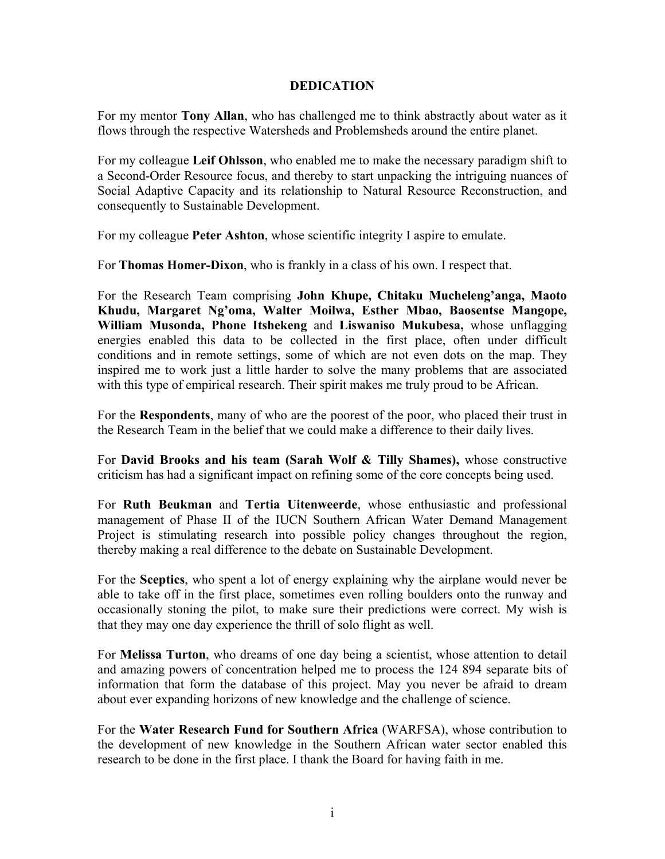## **DEDICATION**

For my mentor **Tony Allan**, who has challenged me to think abstractly about water as it flows through the respective Watersheds and Problemsheds around the entire planet.

For my colleague **Leif Ohlsson**, who enabled me to make the necessary paradigm shift to a Second-Order Resource focus, and thereby to start unpacking the intriguing nuances of Social Adaptive Capacity and its relationship to Natural Resource Reconstruction, and consequently to Sustainable Development.

For my colleague **Peter Ashton**, whose scientific integrity I aspire to emulate.

For **Thomas Homer-Dixon**, who is frankly in a class of his own. I respect that.

For the Research Team comprising **John Khupe, Chitaku Mucheleng'anga, Maoto Khudu, Margaret Ng'oma, Walter Moilwa, Esther Mbao, Baosentse Mangope, William Musonda, Phone Itshekeng** and **Liswaniso Mukubesa,** whose unflagging energies enabled this data to be collected in the first place, often under difficult conditions and in remote settings, some of which are not even dots on the map. They inspired me to work just a little harder to solve the many problems that are associated with this type of empirical research. Their spirit makes me truly proud to be African.

For the **Respondents**, many of who are the poorest of the poor, who placed their trust in the Research Team in the belief that we could make a difference to their daily lives.

For **David Brooks and his team (Sarah Wolf & Tilly Shames),** whose constructive criticism has had a significant impact on refining some of the core concepts being used.

For **Ruth Beukman** and **Tertia Uitenweerde**, whose enthusiastic and professional management of Phase II of the IUCN Southern African Water Demand Management Project is stimulating research into possible policy changes throughout the region, thereby making a real difference to the debate on Sustainable Development.

For the **Sceptics**, who spent a lot of energy explaining why the airplane would never be able to take off in the first place, sometimes even rolling boulders onto the runway and occasionally stoning the pilot, to make sure their predictions were correct. My wish is that they may one day experience the thrill of solo flight as well.

For **Melissa Turton**, who dreams of one day being a scientist, whose attention to detail and amazing powers of concentration helped me to process the 124 894 separate bits of information that form the database of this project. May you never be afraid to dream about ever expanding horizons of new knowledge and the challenge of science.

For the **Water Research Fund for Southern Africa** (WARFSA), whose contribution to the development of new knowledge in the Southern African water sector enabled this research to be done in the first place. I thank the Board for having faith in me.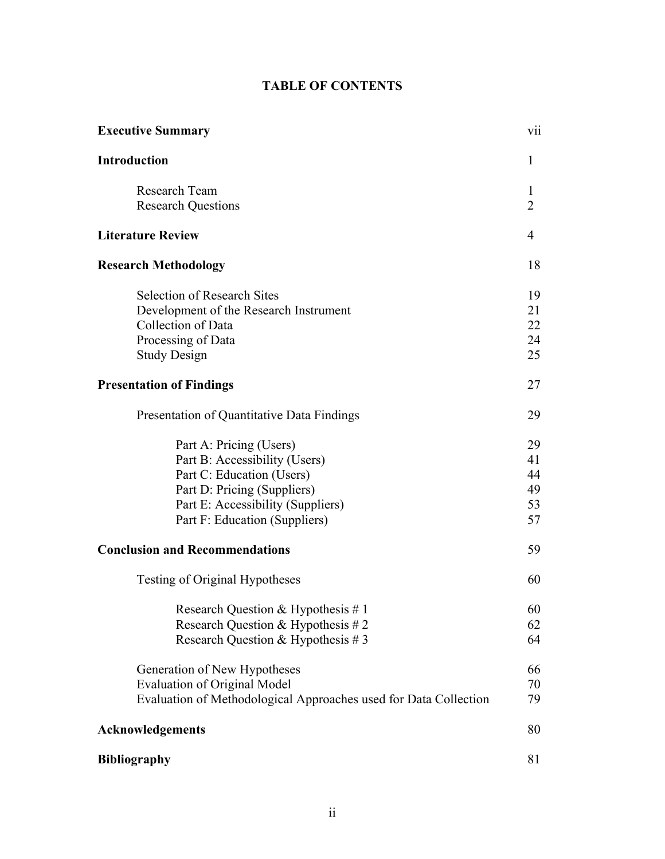# **TABLE OF CONTENTS**

| <b>Executive Summary</b>                                                                                                                                                                   | V11                              |
|--------------------------------------------------------------------------------------------------------------------------------------------------------------------------------------------|----------------------------------|
| <b>Introduction</b>                                                                                                                                                                        | 1                                |
| Research Team<br><b>Research Questions</b>                                                                                                                                                 | 1<br>$\overline{2}$              |
| <b>Literature Review</b>                                                                                                                                                                   | $\overline{4}$                   |
| <b>Research Methodology</b>                                                                                                                                                                | 18                               |
| <b>Selection of Research Sites</b><br>Development of the Research Instrument<br>Collection of Data<br>Processing of Data<br><b>Study Design</b>                                            | 19<br>21<br>22<br>24<br>25       |
| <b>Presentation of Findings</b>                                                                                                                                                            | 27                               |
| Presentation of Quantitative Data Findings                                                                                                                                                 | 29                               |
| Part A: Pricing (Users)<br>Part B: Accessibility (Users)<br>Part C: Education (Users)<br>Part D: Pricing (Suppliers)<br>Part E: Accessibility (Suppliers)<br>Part F: Education (Suppliers) | 29<br>41<br>44<br>49<br>53<br>57 |
| <b>Conclusion and Recommendations</b>                                                                                                                                                      | 59                               |
| <b>Testing of Original Hypotheses</b>                                                                                                                                                      | 60                               |
| Research Question & Hypothesis #1<br>Research Question & Hypothesis # 2<br>Research Question & Hypothesis #3                                                                               | 60<br>62<br>64                   |
| Generation of New Hypotheses<br><b>Evaluation of Original Model</b><br>Evaluation of Methodological Approaches used for Data Collection                                                    | 66<br>70<br>79                   |
| <b>Acknowledgements</b>                                                                                                                                                                    | 80                               |
| <b>Bibliography</b>                                                                                                                                                                        | 81                               |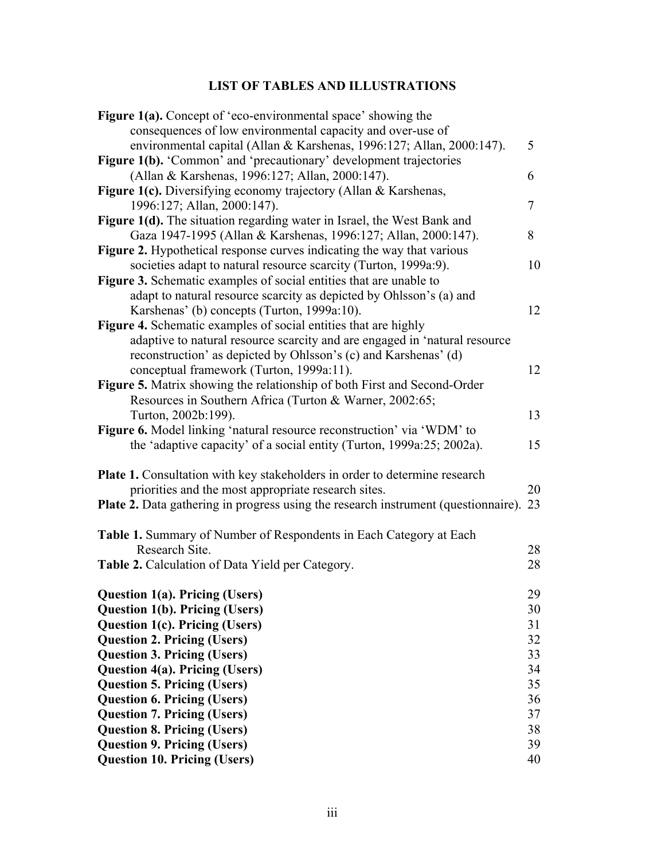# **LIST OF TABLES AND ILLUSTRATIONS**

| <b>Figure 1(a).</b> Concept of 'eco-environmental space' showing the                         |    |
|----------------------------------------------------------------------------------------------|----|
| consequences of low environmental capacity and over-use of                                   |    |
| environmental capital (Allan & Karshenas, 1996:127; Allan, 2000:147).                        | 5  |
| <b>Figure 1(b).</b> 'Common' and 'precautionary' development trajectories                    |    |
| (Allan & Karshenas, 1996:127; Allan, 2000:147).                                              | 6  |
| <b>Figure 1(c).</b> Diversifying economy trajectory (Allan & Karshenas,                      |    |
| 1996:127; Allan, 2000:147).                                                                  | 7  |
| Figure 1(d). The situation regarding water in Israel, the West Bank and                      |    |
| Gaza 1947-1995 (Allan & Karshenas, 1996:127; Allan, 2000:147).                               | 8  |
| <b>Figure 2.</b> Hypothetical response curves indicating the way that various                |    |
| societies adapt to natural resource scarcity (Turton, 1999a:9).                              | 10 |
| Figure 3. Schematic examples of social entities that are unable to                           |    |
| adapt to natural resource scarcity as depicted by Ohlsson's (a) and                          |    |
| Karshenas' (b) concepts (Turton, 1999a:10).                                                  | 12 |
| <b>Figure 4.</b> Schematic examples of social entities that are highly                       |    |
| adaptive to natural resource scarcity and are engaged in 'natural resource                   |    |
| reconstruction' as depicted by Ohlsson's (c) and Karshenas' (d)                              |    |
| conceptual framework (Turton, 1999a:11).                                                     | 12 |
| Figure 5. Matrix showing the relationship of both First and Second-Order                     |    |
| Resources in Southern Africa (Turton & Warner, 2002:65;                                      |    |
| Turton, 2002b:199).                                                                          | 13 |
| Figure 6. Model linking 'natural resource reconstruction' via 'WDM' to                       |    |
| the 'adaptive capacity' of a social entity (Turton, 1999a:25; 2002a).                        | 15 |
| <b>Plate 1.</b> Consultation with key stakeholders in order to determine research            |    |
| priorities and the most appropriate research sites.                                          | 20 |
| <b>Plate 2.</b> Data gathering in progress using the research instrument (questionnaire). 23 |    |
|                                                                                              |    |
| Table 1. Summary of Number of Respondents in Each Category at Each                           |    |
| Research Site.                                                                               | 28 |
| Table 2. Calculation of Data Yield per Category.                                             | 28 |
|                                                                                              |    |
| <b>Question 1(a). Pricing (Users)</b>                                                        | 29 |
| <b>Question 1(b). Pricing (Users)</b>                                                        | 30 |
| <b>Question 1(c). Pricing (Users)</b>                                                        | 31 |
| <b>Question 2. Pricing (Users)</b>                                                           | 32 |
| <b>Question 3. Pricing (Users)</b>                                                           | 33 |
| <b>Question 4(a). Pricing (Users)</b>                                                        | 34 |
| <b>Question 5. Pricing (Users)</b>                                                           | 35 |
| <b>Question 6. Pricing (Users)</b>                                                           | 36 |
| <b>Question 7. Pricing (Users)</b>                                                           | 37 |
| <b>Question 8. Pricing (Users)</b>                                                           | 38 |
| <b>Question 9. Pricing (Users)</b>                                                           | 39 |
| <b>Question 10. Pricing (Users)</b>                                                          | 40 |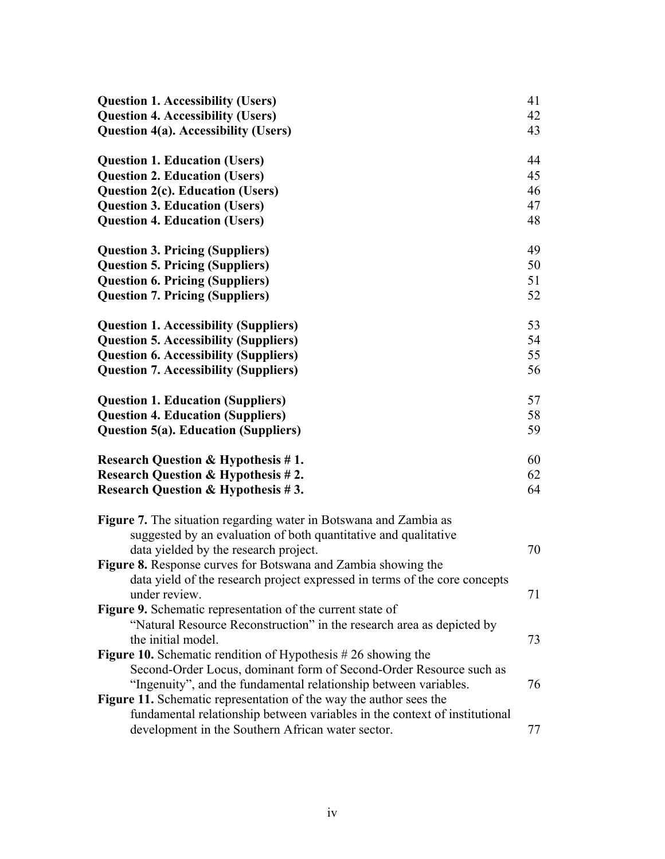| <b>Question 1. Accessibility (Users)</b>                                   | 41 |
|----------------------------------------------------------------------------|----|
| <b>Question 4. Accessibility (Users)</b>                                   | 42 |
| <b>Question 4(a). Accessibility (Users)</b>                                | 43 |
| <b>Question 1. Education (Users)</b>                                       | 44 |
| <b>Question 2. Education (Users)</b>                                       | 45 |
| <b>Question 2(c). Education (Users)</b>                                    | 46 |
| <b>Question 3. Education (Users)</b>                                       | 47 |
| <b>Question 4. Education (Users)</b>                                       | 48 |
| <b>Question 3. Pricing (Suppliers)</b>                                     | 49 |
| <b>Question 5. Pricing (Suppliers)</b>                                     | 50 |
| <b>Question 6. Pricing (Suppliers)</b>                                     | 51 |
| <b>Question 7. Pricing (Suppliers)</b>                                     | 52 |
| <b>Question 1. Accessibility (Suppliers)</b>                               | 53 |
| <b>Question 5. Accessibility (Suppliers)</b>                               | 54 |
| <b>Question 6. Accessibility (Suppliers)</b>                               | 55 |
| <b>Question 7. Accessibility (Suppliers)</b>                               | 56 |
| <b>Question 1. Education (Suppliers)</b>                                   | 57 |
| <b>Question 4. Education (Suppliers)</b>                                   | 58 |
| <b>Question 5(a). Education (Suppliers)</b>                                | 59 |
| Research Question & Hypothesis #1.                                         | 60 |
| <b>Research Question &amp; Hypothesis #2.</b>                              | 62 |
| <b>Research Question &amp; Hypothesis #3.</b>                              | 64 |
| <b>Figure 7.</b> The situation regarding water in Botswana and Zambia as   |    |
| suggested by an evaluation of both quantitative and qualitative            |    |
| data yielded by the research project.                                      | 70 |
| Figure 8. Response curves for Botswana and Zambia showing the              |    |
| data yield of the research project expressed in terms of the core concepts |    |
| under review.                                                              | 71 |
| Figure 9. Schematic representation of the current state of                 |    |
| "Natural Resource Reconstruction" in the research area as depicted by      |    |
| the initial model.                                                         | 73 |
| <b>Figure 10.</b> Schematic rendition of Hypothesis $#26$ showing the      |    |
| Second-Order Locus, dominant form of Second-Order Resource such as         |    |
| "Ingenuity", and the fundamental relationship between variables.           | 76 |
| <b>Figure 11.</b> Schematic representation of the way the author sees the  |    |
| fundamental relationship between variables in the context of institutional |    |
| development in the Southern African water sector.                          | 77 |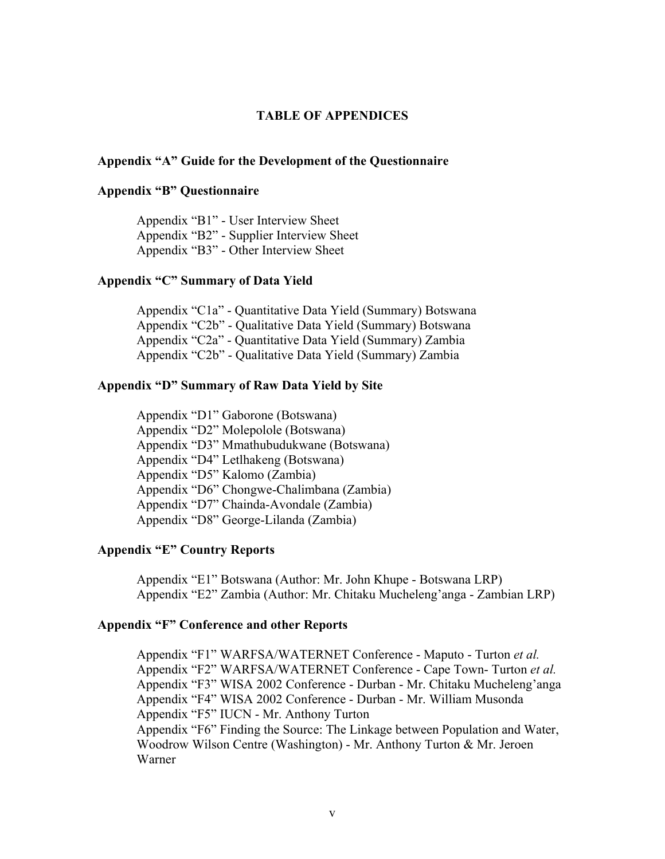## **TABLE OF APPENDICES**

### **Appendix "A" Guide for the Development of the Questionnaire**

## **Appendix "B" Questionnaire**

Appendix "B1" - User Interview Sheet Appendix "B2" - Supplier Interview Sheet Appendix "B3" - Other Interview Sheet

## **Appendix "C" Summary of Data Yield**

Appendix "C1a" - Quantitative Data Yield (Summary) Botswana Appendix "C2b" - Qualitative Data Yield (Summary) Botswana Appendix "C2a" - Quantitative Data Yield (Summary) Zambia Appendix "C2b" - Qualitative Data Yield (Summary) Zambia

#### **Appendix "D" Summary of Raw Data Yield by Site**

Appendix "D1" Gaborone (Botswana) Appendix "D2" Molepolole (Botswana) Appendix "D3" Mmathubudukwane (Botswana) Appendix "D4" Letlhakeng (Botswana) Appendix "D5" Kalomo (Zambia) Appendix "D6" Chongwe-Chalimbana (Zambia) Appendix "D7" Chainda-Avondale (Zambia) Appendix "D8" George-Lilanda (Zambia)

## **Appendix "E" Country Reports**

Appendix "E1" Botswana (Author: Mr. John Khupe - Botswana LRP) Appendix "E2" Zambia (Author: Mr. Chitaku Mucheleng'anga - Zambian LRP)

#### **Appendix "F" Conference and other Reports**

Appendix "F1" WARFSA/WATERNET Conference - Maputo - Turton *et al.* Appendix "F2" WARFSA/WATERNET Conference - Cape Town- Turton *et al.* Appendix "F3" WISA 2002 Conference - Durban - Mr. Chitaku Mucheleng'anga Appendix "F4" WISA 2002 Conference - Durban - Mr. William Musonda Appendix "F5" IUCN - Mr. Anthony Turton Appendix "F6" Finding the Source: The Linkage between Population and Water, Woodrow Wilson Centre (Washington) - Mr. Anthony Turton & Mr. Jeroen Warner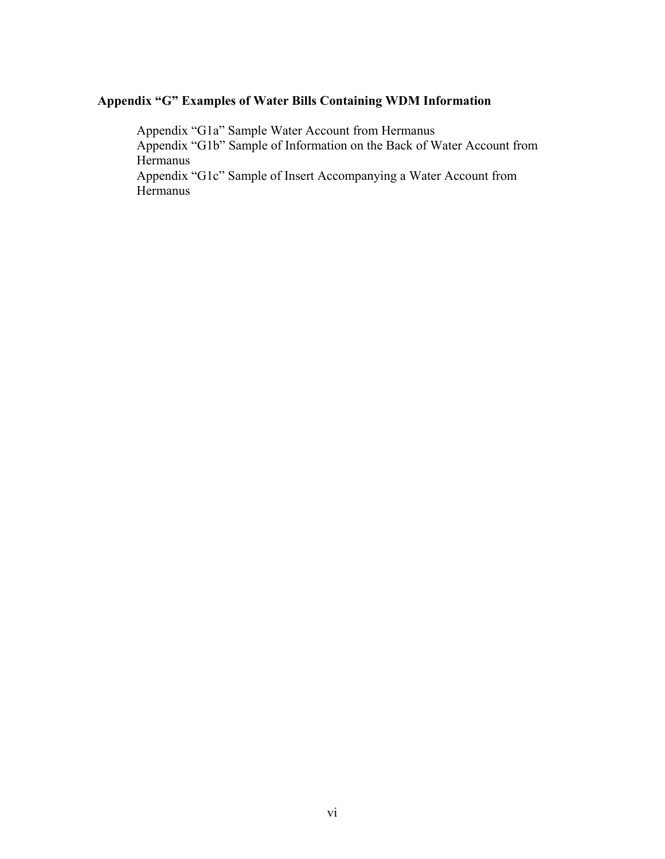## **Appendix "G" Examples of Water Bills Containing WDM Information**

Appendix "G1a" Sample Water Account from Hermanus Appendix "G1b" Sample of Information on the Back of Water Account from Hermanus

Appendix "G1c" Sample of Insert Accompanying a Water Account from Hermanus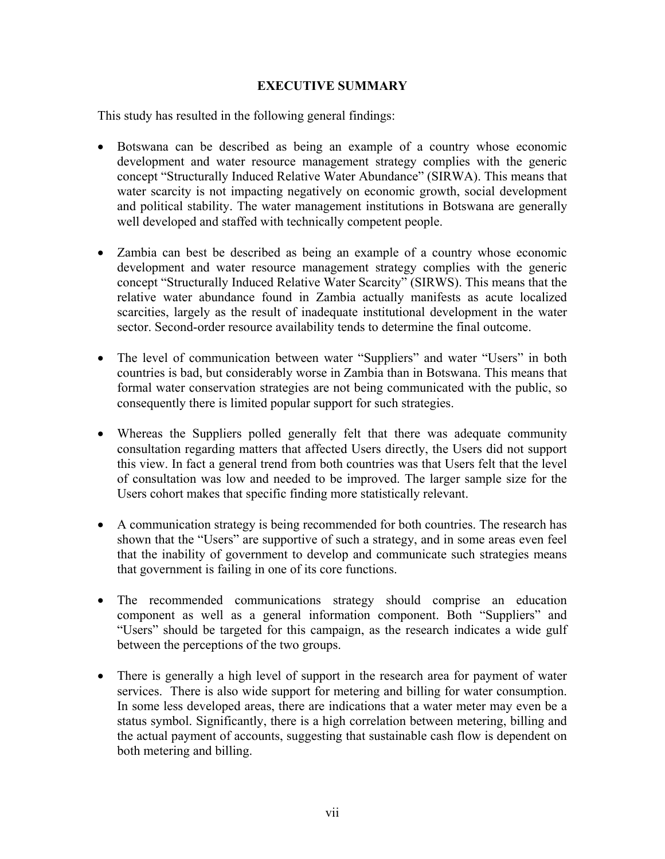## **EXECUTIVE SUMMARY**

This study has resulted in the following general findings:

- Botswana can be described as being an example of a country whose economic development and water resource management strategy complies with the generic concept "Structurally Induced Relative Water Abundance" (SIRWA). This means that water scarcity is not impacting negatively on economic growth, social development and political stability. The water management institutions in Botswana are generally well developed and staffed with technically competent people.
- Zambia can best be described as being an example of a country whose economic development and water resource management strategy complies with the generic concept "Structurally Induced Relative Water Scarcity" (SIRWS). This means that the relative water abundance found in Zambia actually manifests as acute localized scarcities, largely as the result of inadequate institutional development in the water sector. Second-order resource availability tends to determine the final outcome.
- The level of communication between water "Suppliers" and water "Users" in both countries is bad, but considerably worse in Zambia than in Botswana. This means that formal water conservation strategies are not being communicated with the public, so consequently there is limited popular support for such strategies.
- Whereas the Suppliers polled generally felt that there was adequate community consultation regarding matters that affected Users directly, the Users did not support this view. In fact a general trend from both countries was that Users felt that the level of consultation was low and needed to be improved. The larger sample size for the Users cohort makes that specific finding more statistically relevant.
- A communication strategy is being recommended for both countries. The research has shown that the "Users" are supportive of such a strategy, and in some areas even feel that the inability of government to develop and communicate such strategies means that government is failing in one of its core functions.
- The recommended communications strategy should comprise an education component as well as a general information component. Both "Suppliers" and "Users" should be targeted for this campaign, as the research indicates a wide gulf between the perceptions of the two groups.
- $\bullet$ There is generally a high level of support in the research area for payment of water services. There is also wide support for metering and billing for water consumption. In some less developed areas, there are indications that a water meter may even be a status symbol. Significantly, there is a high correlation between metering, billing and the actual payment of accounts, suggesting that sustainable cash flow is dependent on both metering and billing.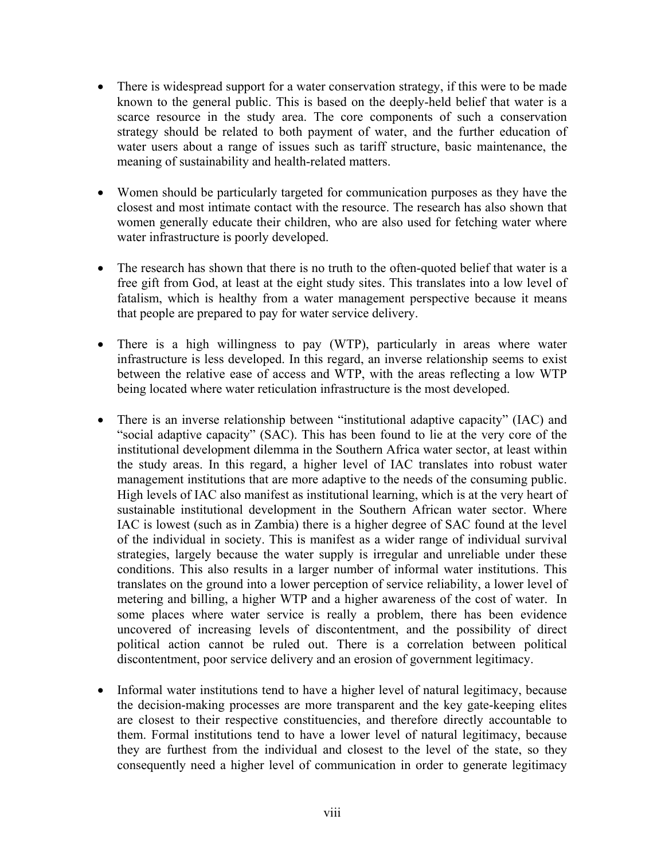- There is widespread support for a water conservation strategy, if this were to be made known to the general public. This is based on the deeply-held belief that water is a scarce resource in the study area. The core components of such a conservation strategy should be related to both payment of water, and the further education of water users about a range of issues such as tariff structure, basic maintenance, the meaning of sustainability and health-related matters.
- Women should be particularly targeted for communication purposes as they have the closest and most intimate contact with the resource. The research has also shown that women generally educate their children, who are also used for fetching water where water infrastructure is poorly developed.
- The research has shown that there is no truth to the often-quoted belief that water is a free gift from God, at least at the eight study sites. This translates into a low level of fatalism, which is healthy from a water management perspective because it means that people are prepared to pay for water service delivery.
- $\bullet$ There is a high willingness to pay (WTP), particularly in areas where water infrastructure is less developed. In this regard, an inverse relationship seems to exist between the relative ease of access and WTP, with the areas reflecting a low WTP being located where water reticulation infrastructure is the most developed.
- There is an inverse relationship between "institutional adaptive capacity" (IAC) and "social adaptive capacity" (SAC). This has been found to lie at the very core of the institutional development dilemma in the Southern Africa water sector, at least within the study areas. In this regard, a higher level of IAC translates into robust water management institutions that are more adaptive to the needs of the consuming public. High levels of IAC also manifest as institutional learning, which is at the very heart of sustainable institutional development in the Southern African water sector. Where IAC is lowest (such as in Zambia) there is a higher degree of SAC found at the level of the individual in society. This is manifest as a wider range of individual survival strategies, largely because the water supply is irregular and unreliable under these conditions. This also results in a larger number of informal water institutions. This translates on the ground into a lower perception of service reliability, a lower level of metering and billing, a higher WTP and a higher awareness of the cost of water. In some places where water service is really a problem, there has been evidence uncovered of increasing levels of discontentment, and the possibility of direct political action cannot be ruled out. There is a correlation between political discontentment, poor service delivery and an erosion of government legitimacy.
- $\bullet$ Informal water institutions tend to have a higher level of natural legitimacy, because the decision-making processes are more transparent and the key gate-keeping elites are closest to their respective constituencies, and therefore directly accountable to them. Formal institutions tend to have a lower level of natural legitimacy, because they are furthest from the individual and closest to the level of the state, so they consequently need a higher level of communication in order to generate legitimacy